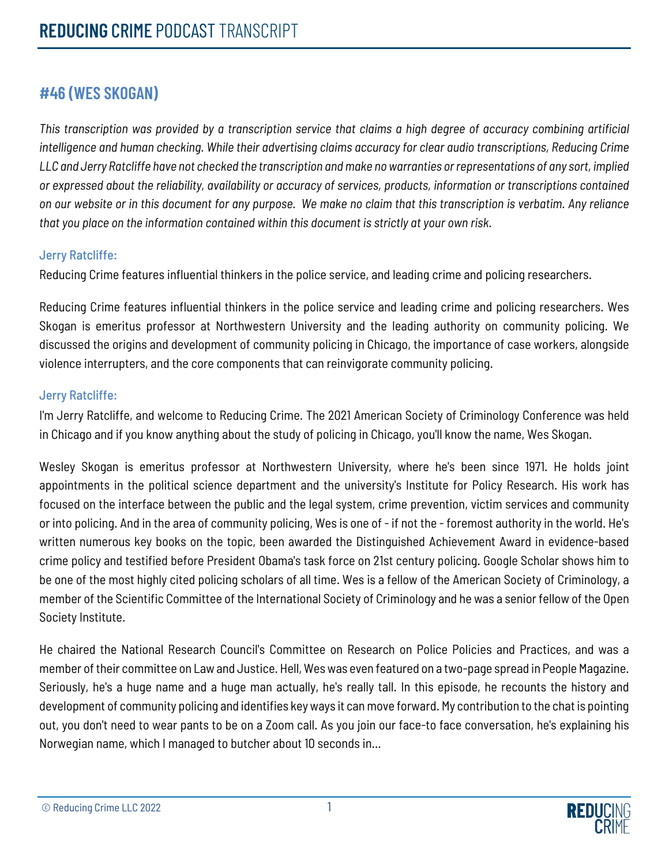# **#46 (WES SKOGAN)**

*This transcription was provided by a transcription service that claims a high degree of accuracy combining artificial intelligence and human checking. While their advertising claims accuracy for clear audio transcriptions, Reducing Crime LLC and Jerry Ratcliffe have not checked the transcription and make no warranties or representations of any sort, implied or expressed about the reliability, availability or accuracy of services, products, information or transcriptions contained on our website or in this document for any purpose. We make no claim that this transcription is verbatim. Any reliance that you place on the information contained within this document is strictly at your own risk.*

## Jerry Ratcliffe:

Reducing Crime features influential thinkers in the police service, and leading crime and policing researchers.

Reducing Crime features influential thinkers in the police service and leading crime and policing researchers. Wes Skogan is emeritus professor at Northwestern University and the leading authority on community policing. We discussed the origins and development of community policing in Chicago, the importance of case workers, alongside violence interrupters, and the core components that can reinvigorate community policing.

## Jerry Ratcliffe:

I'm Jerry Ratcliffe, and welcome to Reducing Crime. The 2021 American Society of Criminology Conference was held in Chicago and if you know anything about the study of policing in Chicago, you'll know the name, Wes Skogan.

Wesley Skogan is emeritus professor at Northwestern University, where he's been since 1971. He holds joint appointments in the political science department and the university's Institute for Policy Research. His work has focused on the interface between the public and the legal system, crime prevention, victim services and community or into policing. And in the area of community policing, Wes is one of - if not the - foremost authority in the world. He's written numerous key books on the topic, been awarded the Distinguished Achievement Award in evidence-based crime policy and testified before President Obama's task force on 21st century policing. Google Scholar shows him to be one of the most highly cited policing scholars of all time. Wes is a fellow of the American Society of Criminology, a member of the Scientific Committee of the International Society of Criminology and he was a senior fellow of the Open Society Institute.

He chaired the National Research Council's Committee on Research on Police Policies and Practices, and was a member of their committee on Law and Justice. Hell, Wes was even featured on a two-page spread in People Magazine. Seriously, he's a huge name and a huge man actually, he's really tall. In this episode, he recounts the history and development of community policing and identifies key ways it can move forward. My contribution to the chat is pointing out, you don't need to wear pants to be on a Zoom call. As you join our face-to face conversation, he's explaining his Norwegian name, which I managed to butcher about 10 seconds in…

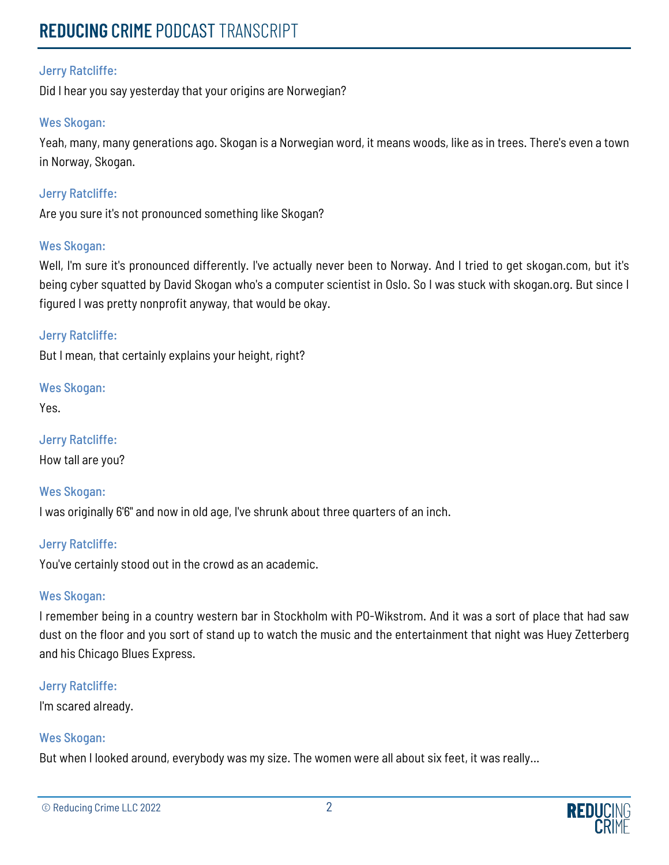# **REDUCING** CRIME PODCAST TRANSCRIPT

## Jerry Ratcliffe:

Did I hear you say yesterday that your origins are Norwegian?

## Wes Skogan:

Yeah, many, many generations ago. Skogan is a Norwegian word, it means woods, like as in trees. There's even a town in Norway, Skogan.

## Jerry Ratcliffe:

Are you sure it's not pronounced something like Skogan?

## Wes Skogan:

Well, I'm sure it's pronounced differently. I've actually never been to Norway. And I tried to get skogan.com, but it's being cyber squatted by David Skogan who's a computer scientist in Oslo. So I was stuck with skogan.org. But since I figured I was pretty nonprofit anyway, that would be okay.

## Jerry Ratcliffe:

But I mean, that certainly explains your height, right?

Wes Skogan:

Yes.

Jerry Ratcliffe: How tall are you?

Wes Skogan: I was originally 6'6" and now in old age, I've shrunk about three quarters of an inch.

## Jerry Ratcliffe:

You've certainly stood out in the crowd as an academic.

## Wes Skogan:

I remember being in a country western bar in Stockholm with PO-Wikstrom. And it was a sort of place that had saw dust on the floor and you sort of stand up to watch the music and the entertainment that night was Huey Zetterberg and his Chicago Blues Express.

## Jerry Ratcliffe:

I'm scared already.

## Wes Skogan:

But when I looked around, everybody was my size. The women were all about six feet, it was really...

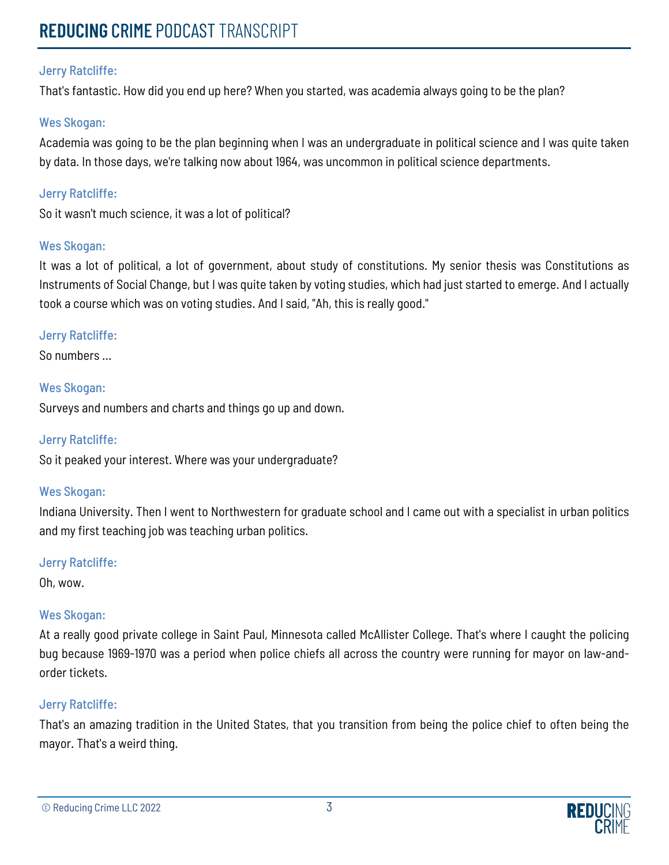That's fantastic. How did you end up here? When you started, was academia always going to be the plan?

## Wes Skogan:

Academia was going to be the plan beginning when I was an undergraduate in political science and I was quite taken by data. In those days, we're talking now about 1964, was uncommon in political science departments.

## Jerry Ratcliffe:

So it wasn't much science, it was a lot of political?

## Wes Skogan:

It was a lot of political, a lot of government, about study of constitutions. My senior thesis was Constitutions as Instruments of Social Change, but I was quite taken by voting studies, which had just started to emerge. And I actually took a course which was on voting studies. And I said, "Ah, this is really good."

## Jerry Ratcliffe:

So numbers ...

## Wes Skogan:

Surveys and numbers and charts and things go up and down.

## Jerry Ratcliffe:

So it peaked your interest. Where was your undergraduate?

## Wes Skogan:

Indiana University. Then I went to Northwestern for graduate school and I came out with a specialist in urban politics and my first teaching job was teaching urban politics.

## Jerry Ratcliffe:

Oh, wow.

## Wes Skogan:

At a really good private college in Saint Paul, Minnesota called McAllister College. That's where I caught the policing bug because 1969-1970 was a period when police chiefs all across the country were running for mayor on law-andorder tickets.

## Jerry Ratcliffe:

That's an amazing tradition in the United States, that you transition from being the police chief to often being the mayor. That's a weird thing.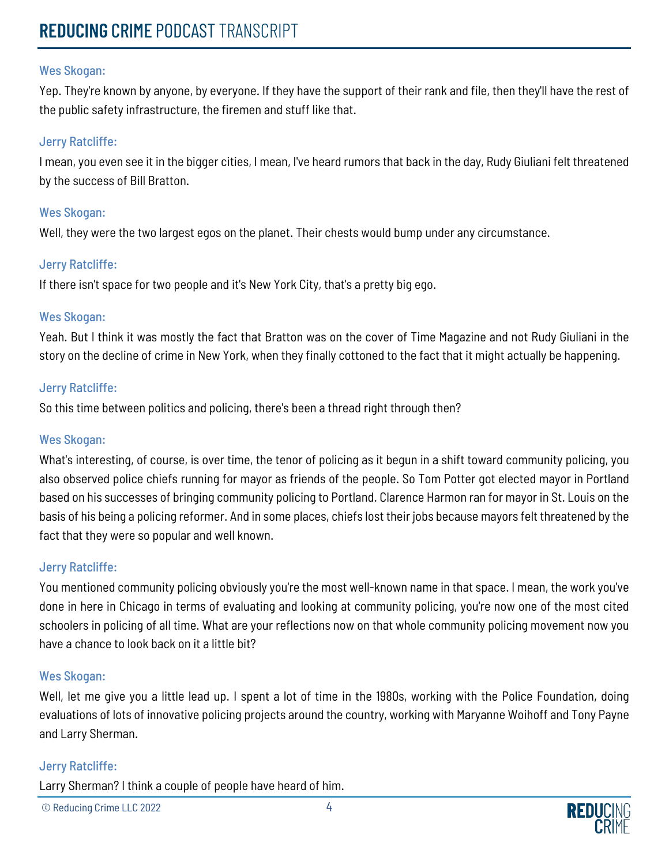Yep. They're known by anyone, by everyone. If they have the support of their rank and file, then they'll have the rest of the public safety infrastructure, the firemen and stuff like that.

#### Jerry Ratcliffe:

I mean, you even see it in the bigger cities, I mean, I've heard rumors that back in the day, Rudy Giuliani felt threatened by the success of Bill Bratton.

#### Wes Skogan:

Well, they were the two largest egos on the planet. Their chests would bump under any circumstance.

## Jerry Ratcliffe:

If there isn't space for two people and it's New York City, that's a pretty big ego.

#### Wes Skogan:

Yeah. But I think it was mostly the fact that Bratton was on the cover of Time Magazine and not Rudy Giuliani in the story on the decline of crime in New York, when they finally cottoned to the fact that it might actually be happening.

#### Jerry Ratcliffe:

So this time between politics and policing, there's been a thread right through then?

#### Wes Skogan:

What's interesting, of course, is over time, the tenor of policing as it begun in a shift toward community policing, you also observed police chiefs running for mayor as friends of the people. So Tom Potter got elected mayor in Portland based on his successes of bringing community policing to Portland. Clarence Harmon ran for mayor in St. Louis on the basis of his being a policing reformer. And in some places, chiefs lost their jobs because mayors felt threatened by the fact that they were so popular and well known.

## Jerry Ratcliffe:

You mentioned community policing obviously you're the most well-known name in that space. I mean, the work you've done in here in Chicago in terms of evaluating and looking at community policing, you're now one of the most cited schoolers in policing of all time. What are your reflections now on that whole community policing movement now you have a chance to look back on it a little bit?

#### Wes Skogan:

Well, let me give you a little lead up. I spent a lot of time in the 1980s, working with the Police Foundation, doing evaluations of lots of innovative policing projects around the country, working with Maryanne Woihoff and Tony Payne and Larry Sherman.

#### Jerry Ratcliffe:

Larry Sherman? I think a couple of people have heard of him.

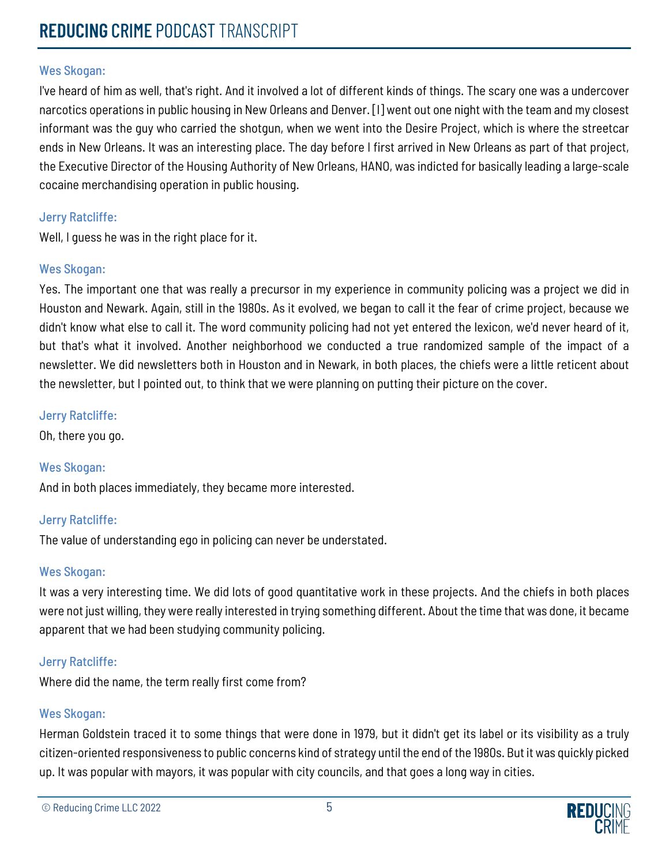I've heard of him as well, that's right. And it involved a lot of different kinds of things. The scary one was a undercover narcotics operations in public housing in New Orleans and Denver. [I] went out one night with the team and my closest informant was the guy who carried the shotgun, when we went into the Desire Project, which is where the streetcar ends in New Orleans. It was an interesting place. The day before I first arrived in New Orleans as part of that project, the Executive Director of the Housing Authority of New Orleans, HANO, was indicted for basically leading a large-scale cocaine merchandising operation in public housing.

## Jerry Ratcliffe:

Well, I guess he was in the right place for it.

## Wes Skogan:

Yes. The important one that was really a precursor in my experience in community policing was a project we did in Houston and Newark. Again, still in the 1980s. As it evolved, we began to call it the fear of crime project, because we didn't know what else to call it. The word community policing had not yet entered the lexicon, we'd never heard of it, but that's what it involved. Another neighborhood we conducted a true randomized sample of the impact of a newsletter. We did newsletters both in Houston and in Newark, in both places, the chiefs were a little reticent about the newsletter, but I pointed out, to think that we were planning on putting their picture on the cover.

## Jerry Ratcliffe:

Oh, there you go.

## Wes Skogan:

And in both places immediately, they became more interested.

## Jerry Ratcliffe:

The value of understanding ego in policing can never be understated.

## Wes Skogan:

It was a very interesting time. We did lots of good quantitative work in these projects. And the chiefs in both places were not just willing, they were really interested in trying something different. About the time that was done, it became apparent that we had been studying community policing.

## Jerry Ratcliffe:

Where did the name, the term really first come from?

## Wes Skogan:

Herman Goldstein traced it to some things that were done in 1979, but it didn't get its label or its visibility as a truly citizen-oriented responsiveness to public concerns kind of strategy until the end of the 1980s. But it was quickly picked up. It was popular with mayors, it was popular with city councils, and that goes a long way in cities.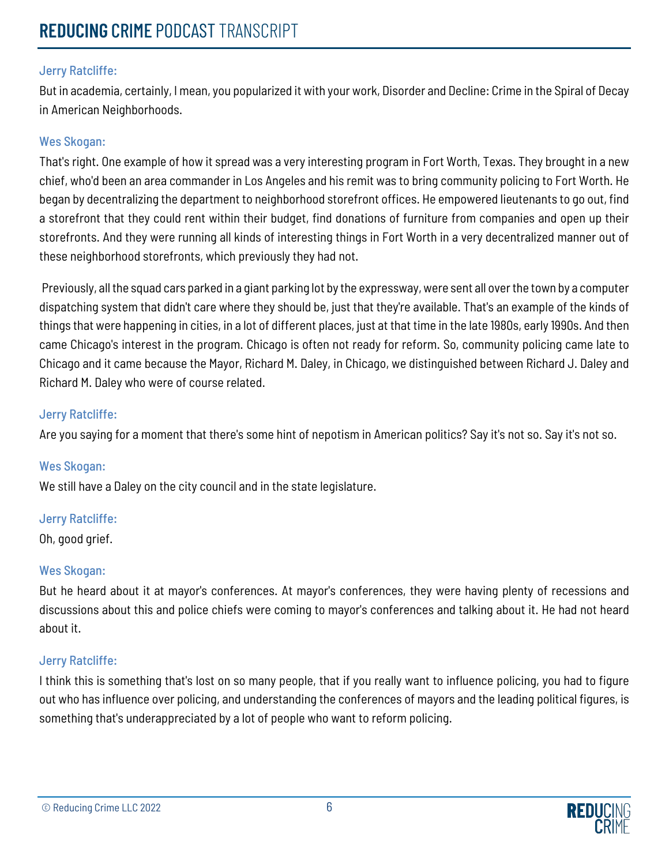But in academia, certainly, I mean, you popularized it with your work, Disorder and Decline: Crime in the Spiral of Decay in American Neighborhoods.

## Wes Skogan:

That's right. One example of how it spread was a very interesting program in Fort Worth, Texas. They brought in a new chief, who'd been an area commander in Los Angeles and his remit was to bring community policing to Fort Worth. He began by decentralizing the department to neighborhood storefront offices. He empowered lieutenants to go out, find a storefront that they could rent within their budget, find donations of furniture from companies and open up their storefronts. And they were running all kinds of interesting things in Fort Worth in a very decentralized manner out of these neighborhood storefronts, which previously they had not.

Previously, all the squad cars parked in a giant parking lot by the expressway, were sent all over the town by a computer dispatching system that didn't care where they should be, just that they're available. That's an example of the kinds of things that were happening in cities, in a lot of different places, just at that time in the late 1980s, early 1990s. And then came Chicago's interest in the program. Chicago is often not ready for reform. So, community policing came late to Chicago and it came because the Mayor, Richard M. Daley, in Chicago, we distinguished between Richard J. Daley and Richard M. Daley who were of course related.

## Jerry Ratcliffe:

Are you saying for a moment that there's some hint of nepotism in American politics? Say it's not so. Say it's not so.

## Wes Skogan:

We still have a Daley on the city council and in the state legislature.

## Jerry Ratcliffe:

Oh, good grief.

## Wes Skogan:

But he heard about it at mayor's conferences. At mayor's conferences, they were having plenty of recessions and discussions about this and police chiefs were coming to mayor's conferences and talking about it. He had not heard about it.

## Jerry Ratcliffe:

I think this is something that's lost on so many people, that if you really want to influence policing, you had to figure out who has influence over policing, and understanding the conferences of mayors and the leading political figures, is something that's underappreciated by a lot of people who want to reform policing.

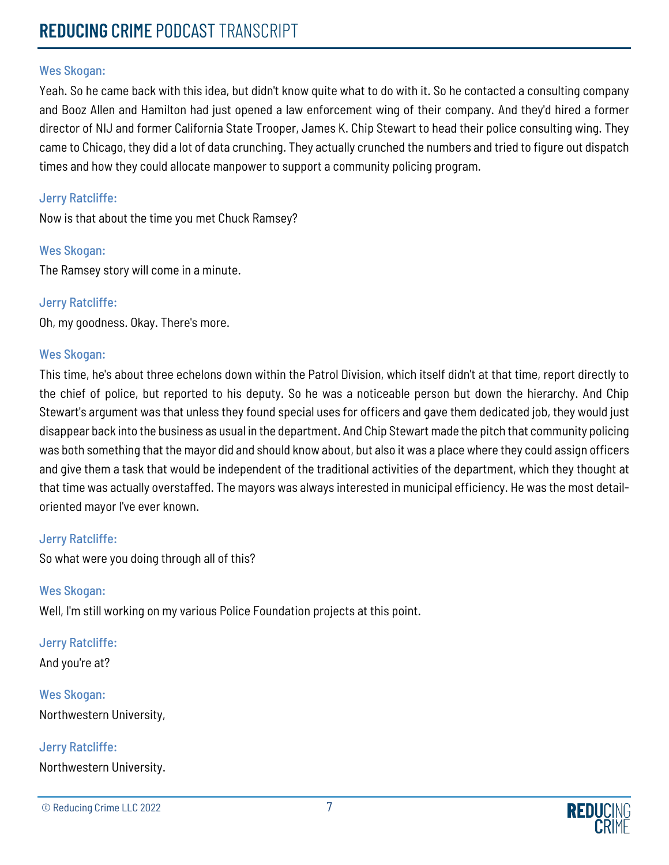Yeah. So he came back with this idea, but didn't know quite what to do with it. So he contacted a consulting company and Booz Allen and Hamilton had just opened a law enforcement wing of their company. And they'd hired a former director of NIJ and former California State Trooper, James K. Chip Stewart to head their police consulting wing. They came to Chicago, they did a lot of data crunching. They actually crunched the numbers and tried to figure out dispatch times and how they could allocate manpower to support a community policing program.

## Jerry Ratcliffe:

Now is that about the time you met Chuck Ramsey?

#### Wes Skogan:

The Ramsey story will come in a minute.

#### Jerry Ratcliffe:

Oh, my goodness. Okay. There's more.

#### Wes Skogan:

This time, he's about three echelons down within the Patrol Division, which itself didn't at that time, report directly to the chief of police, but reported to his deputy. So he was a noticeable person but down the hierarchy. And Chip Stewart's argument was that unless they found special uses for officers and gave them dedicated job, they would just disappear back into the business as usual in the department. And Chip Stewart made the pitch that community policing was both something that the mayor did and should know about, but also it was a place where they could assign officers and give them a task that would be independent of the traditional activities of the department, which they thought at that time was actually overstaffed. The mayors was always interested in municipal efficiency. He was the most detailoriented mayor I've ever known.

## Jerry Ratcliffe:

So what were you doing through all of this?

#### Wes Skogan:

Well, I'm still working on my various Police Foundation projects at this point.

## Jerry Ratcliffe:

And you're at?

Wes Skogan: Northwestern University,

# Jerry Ratcliffe:

Northwestern University.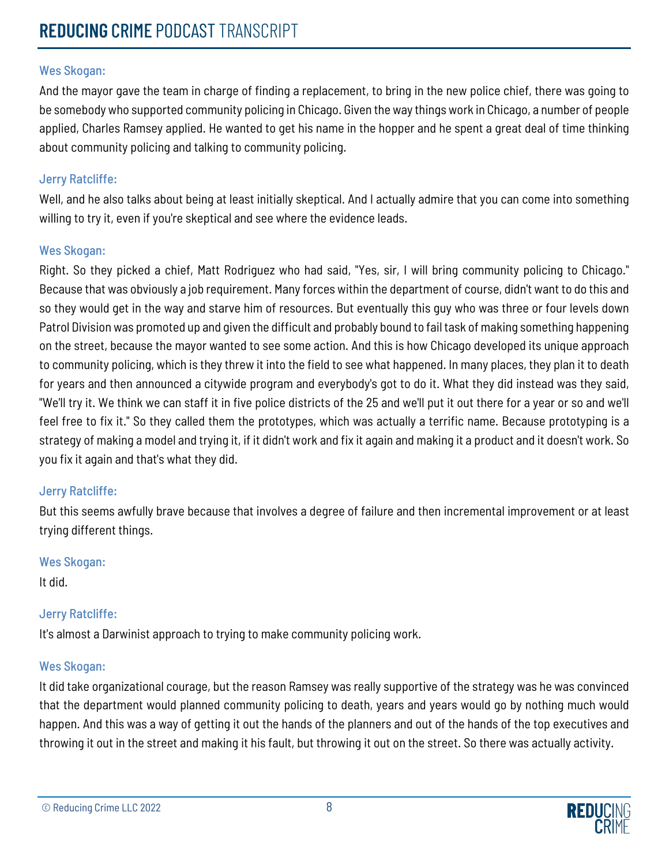And the mayor gave the team in charge of finding a replacement, to bring in the new police chief, there was going to be somebody who supported community policing in Chicago. Given the way things work in Chicago, a number of people applied, Charles Ramsey applied. He wanted to get his name in the hopper and he spent a great deal of time thinking about community policing and talking to community policing.

## Jerry Ratcliffe:

Well, and he also talks about being at least initially skeptical. And I actually admire that you can come into something willing to try it, even if you're skeptical and see where the evidence leads.

## Wes Skogan:

Right. So they picked a chief, Matt Rodriguez who had said, "Yes, sir, I will bring community policing to Chicago." Because that was obviously a job requirement. Many forces within the department of course, didn't want to do this and so they would get in the way and starve him of resources. But eventually this guy who was three or four levels down Patrol Division was promoted up and given the difficult and probably bound to fail task of making something happening on the street, because the mayor wanted to see some action. And this is how Chicago developed its unique approach to community policing, which is they threw it into the field to see what happened. In many places, they plan it to death for years and then announced a citywide program and everybody's got to do it. What they did instead was they said, "We'll try it. We think we can staff it in five police districts of the 25 and we'll put it out there for a year or so and we'll feel free to fix it." So they called them the prototypes, which was actually a terrific name. Because prototyping is a strategy of making a model and trying it, if it didn't work and fix it again and making it a product and it doesn't work. So you fix it again and that's what they did.

## Jerry Ratcliffe:

But this seems awfully brave because that involves a degree of failure and then incremental improvement or at least trying different things.

## Wes Skogan:

It did.

## Jerry Ratcliffe:

It's almost a Darwinist approach to trying to make community policing work.

## Wes Skogan:

It did take organizational courage, but the reason Ramsey was really supportive of the strategy was he was convinced that the department would planned community policing to death, years and years would go by nothing much would happen. And this was a way of getting it out the hands of the planners and out of the hands of the top executives and throwing it out in the street and making it his fault, but throwing it out on the street. So there was actually activity.

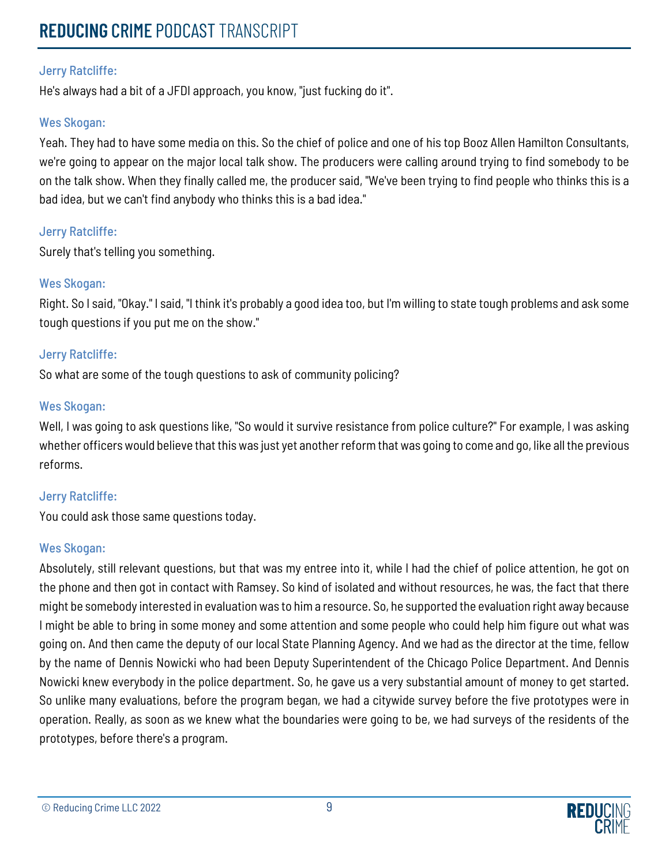# **REDUCING** CRIME PODCAST TRANSCRIPT

## Jerry Ratcliffe:

He's always had a bit of a JFDI approach, you know, "just fucking do it".

## Wes Skogan:

Yeah. They had to have some media on this. So the chief of police and one of his top Booz Allen Hamilton Consultants, we're going to appear on the major local talk show. The producers were calling around trying to find somebody to be on the talk show. When they finally called me, the producer said, "We've been trying to find people who thinks this is a bad idea, but we can't find anybody who thinks this is a bad idea."

## Jerry Ratcliffe:

Surely that's telling you something.

## Wes Skogan:

Right. So I said, "Okay." I said, "I think it's probably a good idea too, but I'm willing to state tough problems and ask some tough questions if you put me on the show."

## Jerry Ratcliffe:

So what are some of the tough questions to ask of community policing?

## Wes Skogan:

Well, I was going to ask questions like, "So would it survive resistance from police culture?" For example, I was asking whether officers would believe that this was just yet another reform that was going to come and go, like all the previous reforms.

## Jerry Ratcliffe:

You could ask those same questions today.

## Wes Skogan:

Absolutely, still relevant questions, but that was my entree into it, while I had the chief of police attention, he got on the phone and then got in contact with Ramsey. So kind of isolated and without resources, he was, the fact that there might be somebody interested in evaluation was to him a resource. So, he supported the evaluation right away because I might be able to bring in some money and some attention and some people who could help him figure out what was going on. And then came the deputy of our local State Planning Agency. And we had as the director at the time, fellow by the name of Dennis Nowicki who had been Deputy Superintendent of the Chicago Police Department. And Dennis Nowicki knew everybody in the police department. So, he gave us a very substantial amount of money to get started. So unlike many evaluations, before the program began, we had a citywide survey before the five prototypes were in operation. Really, as soon as we knew what the boundaries were going to be, we had surveys of the residents of the prototypes, before there's a program.



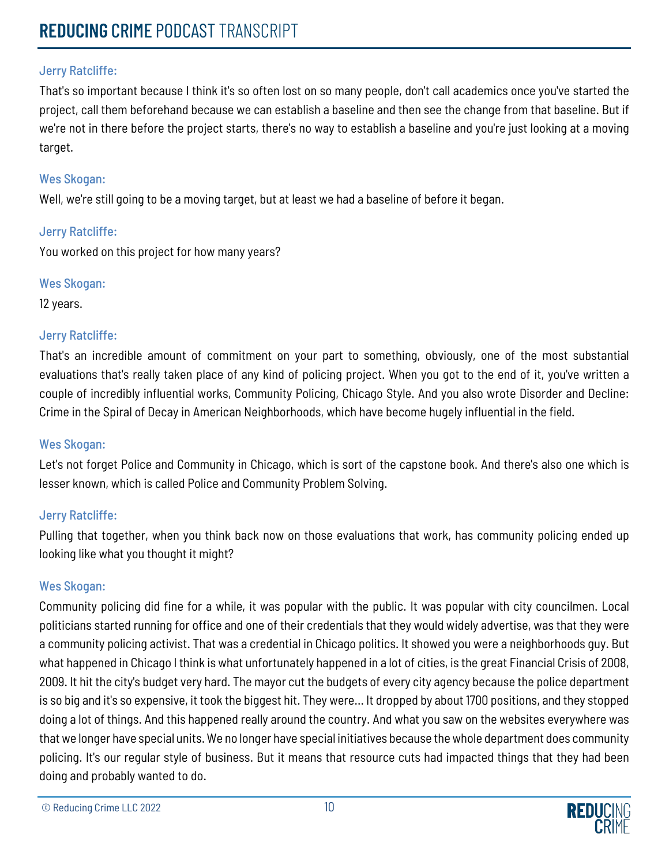That's so important because I think it's so often lost on so many people, don't call academics once you've started the project, call them beforehand because we can establish a baseline and then see the change from that baseline. But if we're not in there before the project starts, there's no way to establish a baseline and you're just looking at a moving target.

## Wes Skogan:

Well, we're still going to be a moving target, but at least we had a baseline of before it began.

## Jerry Ratcliffe:

You worked on this project for how many years?

## Wes Skogan:

12 years.

## Jerry Ratcliffe:

That's an incredible amount of commitment on your part to something, obviously, one of the most substantial evaluations that's really taken place of any kind of policing project. When you got to the end of it, you've written a couple of incredibly influential works, Community Policing, Chicago Style. And you also wrote Disorder and Decline: Crime in the Spiral of Decay in American Neighborhoods, which have become hugely influential in the field.

## Wes Skogan:

Let's not forget Police and Community in Chicago, which is sort of the capstone book. And there's also one which is lesser known, which is called Police and Community Problem Solving.

## Jerry Ratcliffe:

Pulling that together, when you think back now on those evaluations that work, has community policing ended up looking like what you thought it might?

## Wes Skogan:

Community policing did fine for a while, it was popular with the public. It was popular with city councilmen. Local politicians started running for office and one of their credentials that they would widely advertise, was that they were a community policing activist. That was a credential in Chicago politics. It showed you were a neighborhoods guy. But what happened in Chicago I think is what unfortunately happened in a lot of cities, is the great Financial Crisis of 2008, 2009. It hit the city's budget very hard. The mayor cut the budgets of every city agency because the police department is so big and it's so expensive, it took the biggest hit. They were... It dropped by about 1700 positions, and they stopped doing a lot of things. And this happened really around the country. And what you saw on the websites everywhere was that we longer have special units. We no longer have special initiatives because the whole department does community policing. It's our regular style of business. But it means that resource cuts had impacted things that they had been doing and probably wanted to do.



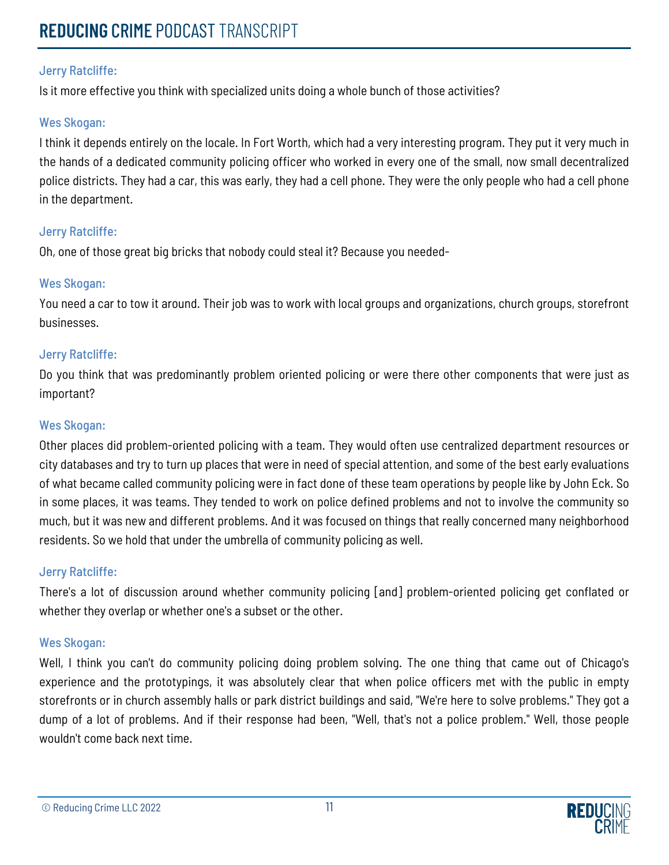Is it more effective you think with specialized units doing a whole bunch of those activities?

## Wes Skogan:

I think it depends entirely on the locale. In Fort Worth, which had a very interesting program. They put it very much in the hands of a dedicated community policing officer who worked in every one of the small, now small decentralized police districts. They had a car, this was early, they had a cell phone. They were the only people who had a cell phone in the department.

## Jerry Ratcliffe:

Oh, one of those great big bricks that nobody could steal it? Because you needed-

## Wes Skogan:

You need a car to tow it around. Their job was to work with local groups and organizations, church groups, storefront businesses.

## Jerry Ratcliffe:

Do you think that was predominantly problem oriented policing or were there other components that were just as important?

## Wes Skogan:

Other places did problem-oriented policing with a team. They would often use centralized department resources or city databases and try to turn up places that were in need of special attention, and some of the best early evaluations of what became called community policing were in fact done of these team operations by people like by John Eck. So in some places, it was teams. They tended to work on police defined problems and not to involve the community so much, but it was new and different problems. And it was focused on things that really concerned many neighborhood residents. So we hold that under the umbrella of community policing as well.

## Jerry Ratcliffe:

There's a lot of discussion around whether community policing [and] problem-oriented policing get conflated or whether they overlap or whether one's a subset or the other.

## Wes Skogan:

Well, I think you can't do community policing doing problem solving. The one thing that came out of Chicago's experience and the prototypings, it was absolutely clear that when police officers met with the public in empty storefronts or in church assembly halls or park district buildings and said, "We're here to solve problems." They got a dump of a lot of problems. And if their response had been, "Well, that's not a police problem." Well, those people wouldn't come back next time.

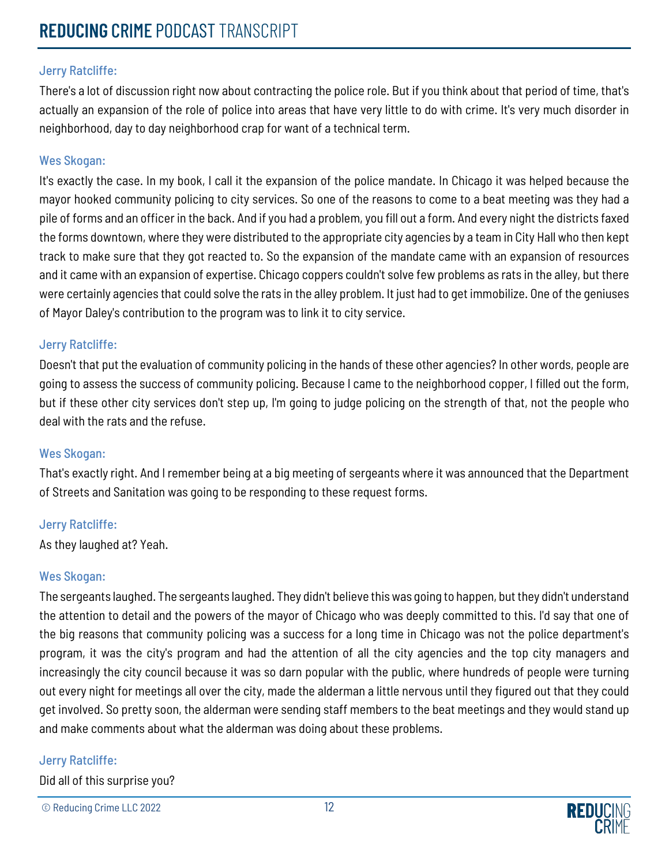There's a lot of discussion right now about contracting the police role. But if you think about that period of time, that's actually an expansion of the role of police into areas that have very little to do with crime. It's very much disorder in neighborhood, day to day neighborhood crap for want of a technical term.

## Wes Skogan:

It's exactly the case. In my book, I call it the expansion of the police mandate. In Chicago it was helped because the mayor hooked community policing to city services. So one of the reasons to come to a beat meeting was they had a pile of forms and an officer in the back. And if you had a problem, you fill out a form. And every night the districts faxed the forms downtown, where they were distributed to the appropriate city agencies by a team in City Hall who then kept track to make sure that they got reacted to. So the expansion of the mandate came with an expansion of resources and it came with an expansion of expertise. Chicago coppers couldn't solve few problems as rats in the alley, but there were certainly agencies that could solve the rats in the alley problem. It just had to get immobilize. One of the geniuses of Mayor Daley's contribution to the program was to link it to city service.

## Jerry Ratcliffe:

Doesn't that put the evaluation of community policing in the hands of these other agencies? In other words, people are going to assess the success of community policing. Because I came to the neighborhood copper, I filled out the form, but if these other city services don't step up, I'm going to judge policing on the strength of that, not the people who deal with the rats and the refuse.

## Wes Skogan:

That's exactly right. And I remember being at a big meeting of sergeants where it was announced that the Department of Streets and Sanitation was going to be responding to these request forms.

## Jerry Ratcliffe:

As they laughed at? Yeah.

## Wes Skogan:

The sergeants laughed. The sergeants laughed. They didn't believe this was going to happen, but they didn't understand the attention to detail and the powers of the mayor of Chicago who was deeply committed to this. I'd say that one of the big reasons that community policing was a success for a long time in Chicago was not the police department's program, it was the city's program and had the attention of all the city agencies and the top city managers and increasingly the city council because it was so darn popular with the public, where hundreds of people were turning out every night for meetings all over the city, made the alderman a little nervous until they figured out that they could get involved. So pretty soon, the alderman were sending staff members to the beat meetings and they would stand up and make comments about what the alderman was doing about these problems.

## Jerry Ratcliffe:

Did all of this surprise you?

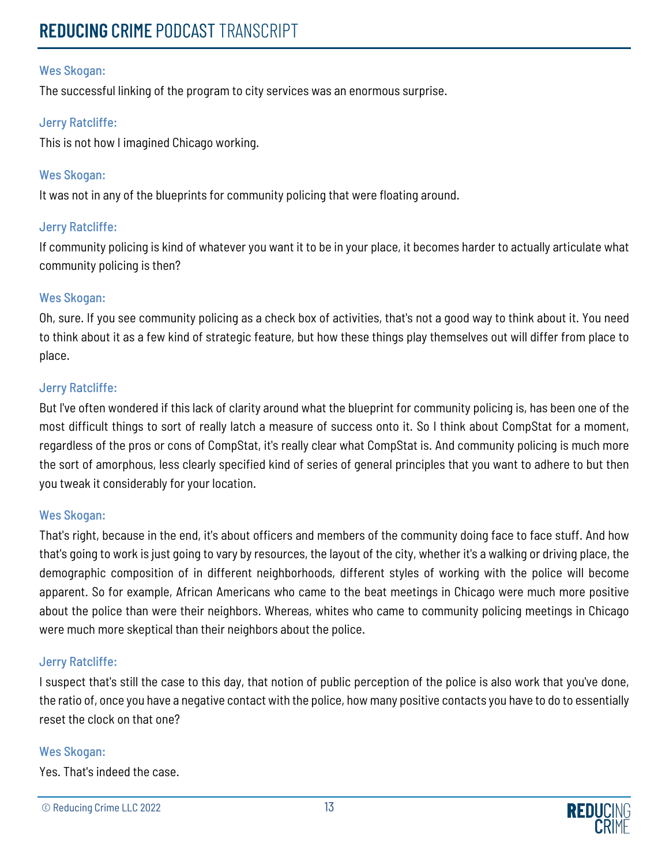The successful linking of the program to city services was an enormous surprise.

## Jerry Ratcliffe:

This is not how I imagined Chicago working.

## Wes Skogan:

It was not in any of the blueprints for community policing that were floating around.

## Jerry Ratcliffe:

If community policing is kind of whatever you want it to be in your place, it becomes harder to actually articulate what community policing is then?

## Wes Skogan:

Oh, sure. If you see community policing as a check box of activities, that's not a good way to think about it. You need to think about it as a few kind of strategic feature, but how these things play themselves out will differ from place to place.

## Jerry Ratcliffe:

But I've often wondered if this lack of clarity around what the blueprint for community policing is, has been one of the most difficult things to sort of really latch a measure of success onto it. So I think about CompStat for a moment, regardless of the pros or cons of CompStat, it's really clear what CompStat is. And community policing is much more the sort of amorphous, less clearly specified kind of series of general principles that you want to adhere to but then you tweak it considerably for your location.

## Wes Skogan:

That's right, because in the end, it's about officers and members of the community doing face to face stuff. And how that's going to work is just going to vary by resources, the layout of the city, whether it's a walking or driving place, the demographic composition of in different neighborhoods, different styles of working with the police will become apparent. So for example, African Americans who came to the beat meetings in Chicago were much more positive about the police than were their neighbors. Whereas, whites who came to community policing meetings in Chicago were much more skeptical than their neighbors about the police.

## Jerry Ratcliffe:

I suspect that's still the case to this day, that notion of public perception of the police is also work that you've done, the ratio of, once you have a negative contact with the police, how many positive contacts you have to do to essentially reset the clock on that one?

## Wes Skogan:

Yes. That's indeed the case.

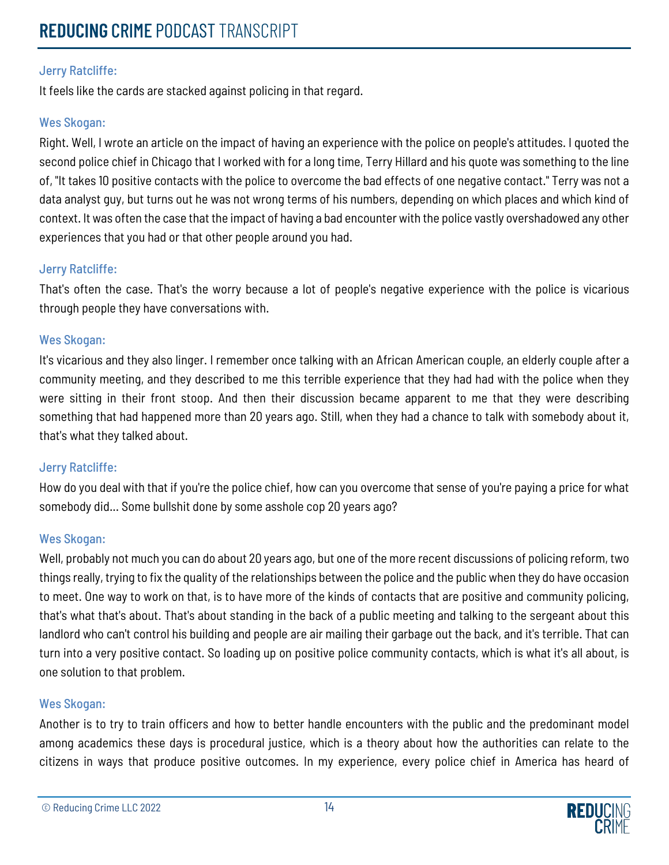It feels like the cards are stacked against policing in that regard.

## Wes Skogan:

Right. Well, I wrote an article on the impact of having an experience with the police on people's attitudes. I quoted the second police chief in Chicago that I worked with for a long time, Terry Hillard and his quote was something to the line of, "It takes 10 positive contacts with the police to overcome the bad effects of one negative contact." Terry was not a data analyst guy, but turns out he was not wrong terms of his numbers, depending on which places and which kind of context. It was often the case that the impact of having a bad encounter with the police vastly overshadowed any other experiences that you had or that other people around you had.

## Jerry Ratcliffe:

That's often the case. That's the worry because a lot of people's negative experience with the police is vicarious through people they have conversations with.

## Wes Skogan:

It's vicarious and they also linger. I remember once talking with an African American couple, an elderly couple after a community meeting, and they described to me this terrible experience that they had had with the police when they were sitting in their front stoop. And then their discussion became apparent to me that they were describing something that had happened more than 20 years ago. Still, when they had a chance to talk with somebody about it, that's what they talked about.

## Jerry Ratcliffe:

How do you deal with that if you're the police chief, how can you overcome that sense of you're paying a price for what somebody did... Some bullshit done by some asshole cop 20 years ago?

## Wes Skogan:

Well, probably not much you can do about 20 years ago, but one of the more recent discussions of policing reform, two things really, trying to fix the quality of the relationships between the police and the public when they do have occasion to meet. One way to work on that, is to have more of the kinds of contacts that are positive and community policing, that's what that's about. That's about standing in the back of a public meeting and talking to the sergeant about this landlord who can't control his building and people are air mailing their garbage out the back, and it's terrible. That can turn into a very positive contact. So loading up on positive police community contacts, which is what it's all about, is one solution to that problem.

## Wes Skogan:

Another is to try to train officers and how to better handle encounters with the public and the predominant model among academics these days is procedural justice, which is a theory about how the authorities can relate to the citizens in ways that produce positive outcomes. In my experience, every police chief in America has heard of

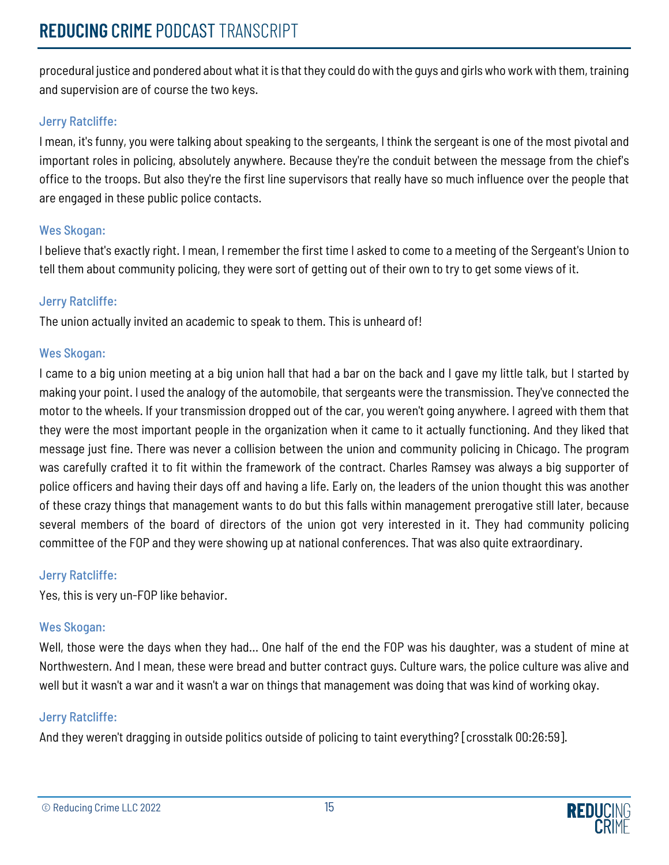procedural justice and pondered about what it is that they could do with the guys and girls who work with them, training and supervision are of course the two keys.

## Jerry Ratcliffe:

I mean, it's funny, you were talking about speaking to the sergeants, I think the sergeant is one of the most pivotal and important roles in policing, absolutely anywhere. Because they're the conduit between the message from the chief's office to the troops. But also they're the first line supervisors that really have so much influence over the people that are engaged in these public police contacts.

## Wes Skogan:

I believe that's exactly right. I mean, I remember the first time I asked to come to a meeting of the Sergeant's Union to tell them about community policing, they were sort of getting out of their own to try to get some views of it.

## Jerry Ratcliffe:

The union actually invited an academic to speak to them. This is unheard of!

## Wes Skogan:

I came to a big union meeting at a big union hall that had a bar on the back and I gave my little talk, but I started by making your point. I used the analogy of the automobile, that sergeants were the transmission. They've connected the motor to the wheels. If your transmission dropped out of the car, you weren't going anywhere. I agreed with them that they were the most important people in the organization when it came to it actually functioning. And they liked that message just fine. There was never a collision between the union and community policing in Chicago. The program was carefully crafted it to fit within the framework of the contract. Charles Ramsey was always a big supporter of police officers and having their days off and having a life. Early on, the leaders of the union thought this was another of these crazy things that management wants to do but this falls within management prerogative still later, because several members of the board of directors of the union got very interested in it. They had community policing committee of the FOP and they were showing up at national conferences. That was also quite extraordinary.

## Jerry Ratcliffe:

Yes, this is very un-FOP like behavior.

## Wes Skogan:

Well, those were the days when they had... One half of the end the FOP was his daughter, was a student of mine at Northwestern. And I mean, these were bread and butter contract guys. Culture wars, the police culture was alive and well but it wasn't a war and it wasn't a war on things that management was doing that was kind of working okay.

## Jerry Ratcliffe:

And they weren't dragging in outside politics outside of policing to taint everything? [crosstalk 00:26:59].

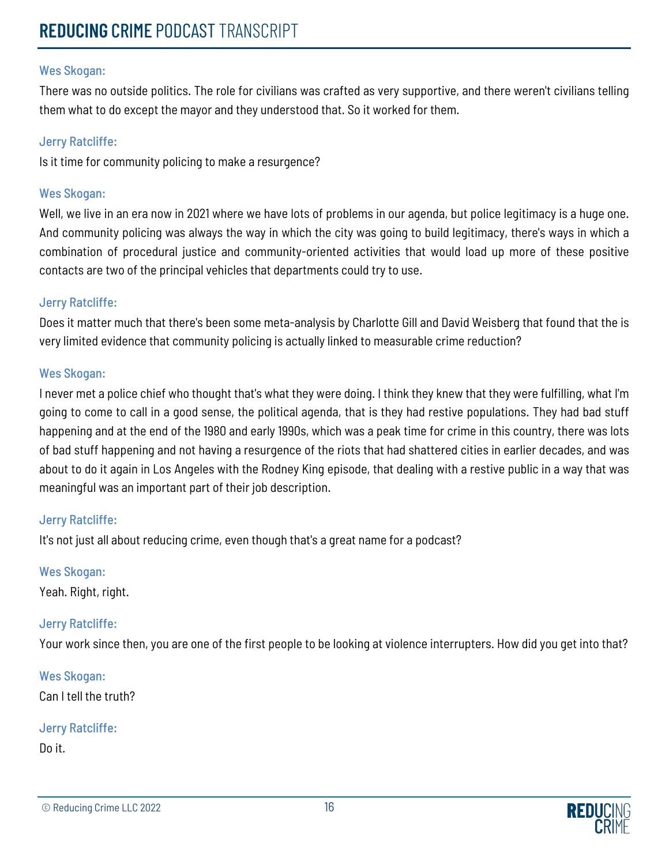There was no outside politics. The role for civilians was crafted as very supportive, and there weren't civilians telling them what to do except the mayor and they understood that. So it worked for them.

#### Jerry Ratcliffe:

Is it time for community policing to make a resurgence?

#### Wes Skogan:

Well, we live in an era now in 2021 where we have lots of problems in our agenda, but police legitimacy is a huge one. And community policing was always the way in which the city was going to build legitimacy, there's ways in which a combination of procedural justice and community-oriented activities that would load up more of these positive contacts are two of the principal vehicles that departments could try to use.

#### Jerry Ratcliffe:

Does it matter much that there's been some meta-analysis by Charlotte Gill and David Weisberg that found that the is very limited evidence that community policing is actually linked to measurable crime reduction?

#### Wes Skogan:

I never met a police chief who thought that's what they were doing. I think they knew that they were fulfilling, what I'm going to come to call in a good sense, the political agenda, that is they had restive populations. They had bad stuff happening and at the end of the 1980 and early 1990s, which was a peak time for crime in this country, there was lots of bad stuff happening and not having a resurgence of the riots that had shattered cities in earlier decades, and was about to do it again in Los Angeles with the Rodney King episode, that dealing with a restive public in a way that was meaningful was an important part of their job description.

## Jerry Ratcliffe:

It's not just all about reducing crime, even though that's a great name for a podcast?

## Wes Skogan:

Yeah. Right, right.

## Jerry Ratcliffe:

Your work since then, you are one of the first people to be looking at violence interrupters. How did you get into that?

Wes Skogan: Can I tell the truth?

## Jerry Ratcliffe:

Do it.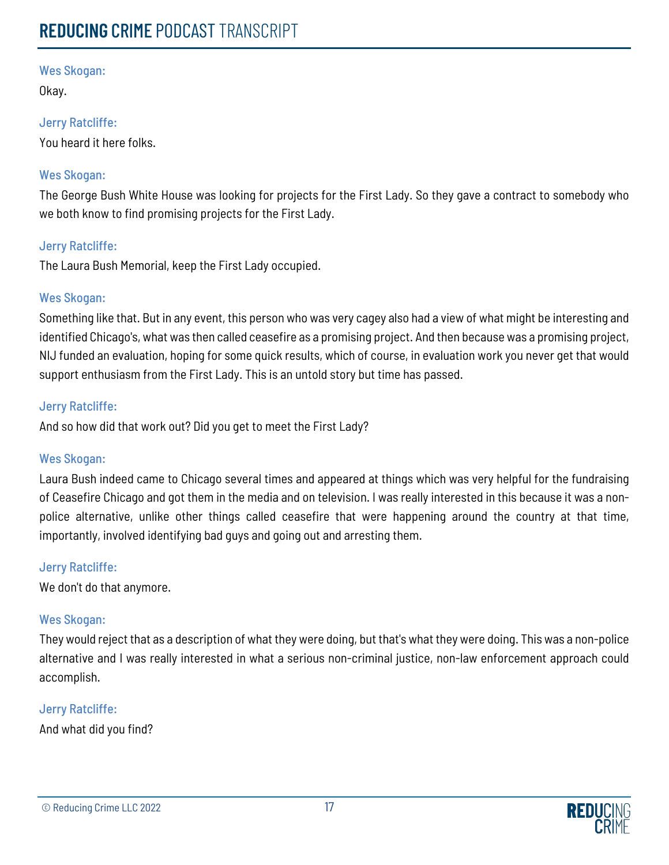Okay.

## Jerry Ratcliffe:

You heard it here folks.

## Wes Skogan:

The George Bush White House was looking for projects for the First Lady. So they gave a contract to somebody who we both know to find promising projects for the First Lady.

## Jerry Ratcliffe:

The Laura Bush Memorial, keep the First Lady occupied.

## Wes Skogan:

Something like that. But in any event, this person who was very cagey also had a view of what might be interesting and identified Chicago's, what was then called ceasefire as a promising project. And then because was a promising project, NIJ funded an evaluation, hoping for some quick results, which of course, in evaluation work you never get that would support enthusiasm from the First Lady. This is an untold story but time has passed.

## Jerry Ratcliffe:

And so how did that work out? Did you get to meet the First Lady?

## Wes Skogan:

Laura Bush indeed came to Chicago several times and appeared at things which was very helpful for the fundraising of Ceasefire Chicago and got them in the media and on television. I was really interested in this because it was a nonpolice alternative, unlike other things called ceasefire that were happening around the country at that time, importantly, involved identifying bad guys and going out and arresting them.

## Jerry Ratcliffe:

We don't do that anymore.

## Wes Skogan:

They would reject that as a description of what they were doing, but that's what they were doing. This was a non-police alternative and I was really interested in what a serious non-criminal justice, non-law enforcement approach could accomplish.

## Jerry Ratcliffe:

And what did you find?

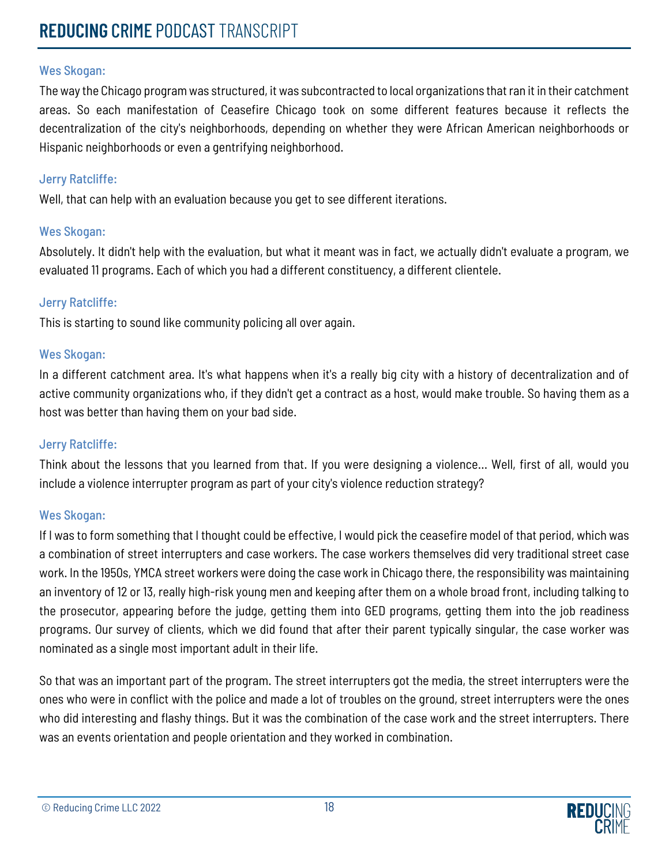The way the Chicago program was structured, it was subcontracted to local organizations that ran it in their catchment areas. So each manifestation of Ceasefire Chicago took on some different features because it reflects the decentralization of the city's neighborhoods, depending on whether they were African American neighborhoods or Hispanic neighborhoods or even a gentrifying neighborhood.

## Jerry Ratcliffe:

Well, that can help with an evaluation because you get to see different iterations.

## Wes Skogan:

Absolutely. It didn't help with the evaluation, but what it meant was in fact, we actually didn't evaluate a program, we evaluated 11 programs. Each of which you had a different constituency, a different clientele.

## Jerry Ratcliffe:

This is starting to sound like community policing all over again.

## Wes Skogan:

In a different catchment area. It's what happens when it's a really big city with a history of decentralization and of active community organizations who, if they didn't get a contract as a host, would make trouble. So having them as a host was better than having them on your bad side.

## Jerry Ratcliffe:

Think about the lessons that you learned from that. If you were designing a violence... Well, first of all, would you include a violence interrupter program as part of your city's violence reduction strategy?

## Wes Skogan:

If I was to form something that I thought could be effective, I would pick the ceasefire model of that period, which was a combination of street interrupters and case workers. The case workers themselves did very traditional street case work. In the 1950s, YMCA street workers were doing the case work in Chicago there, the responsibility was maintaining an inventory of 12 or 13, really high-risk young men and keeping after them on a whole broad front, including talking to the prosecutor, appearing before the judge, getting them into GED programs, getting them into the job readiness programs. Our survey of clients, which we did found that after their parent typically singular, the case worker was nominated as a single most important adult in their life.

So that was an important part of the program. The street interrupters got the media, the street interrupters were the ones who were in conflict with the police and made a lot of troubles on the ground, street interrupters were the ones who did interesting and flashy things. But it was the combination of the case work and the street interrupters. There was an events orientation and people orientation and they worked in combination.

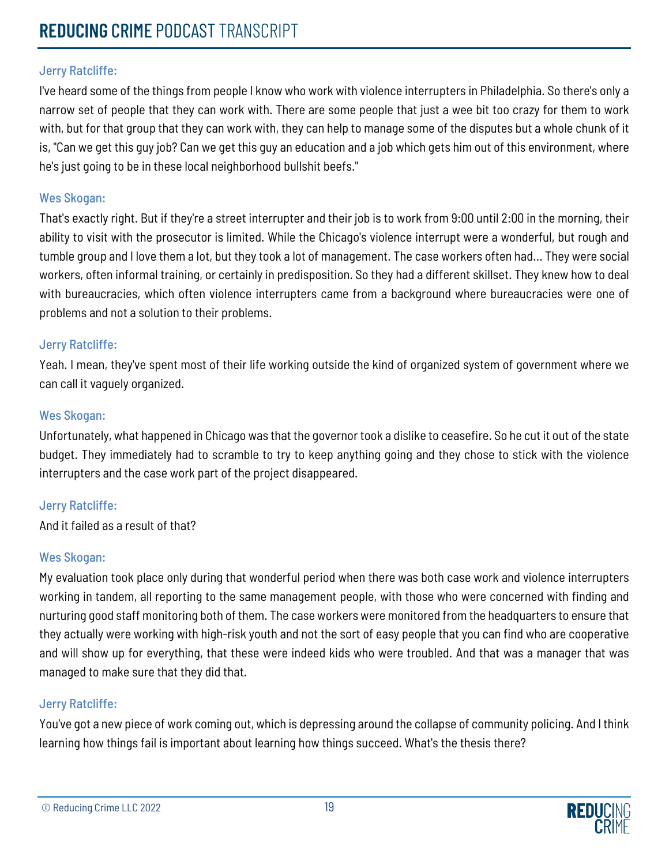I've heard some of the things from people I know who work with violence interrupters in Philadelphia. So there's only a narrow set of people that they can work with. There are some people that just a wee bit too crazy for them to work with, but for that group that they can work with, they can help to manage some of the disputes but a whole chunk of it is, "Can we get this guy job? Can we get this guy an education and a job which gets him out of this environment, where he's just going to be in these local neighborhood bullshit beefs."

## Wes Skogan:

That's exactly right. But if they're a street interrupter and their job is to work from 9:00 until 2:00 in the morning, their ability to visit with the prosecutor is limited. While the Chicago's violence interrupt were a wonderful, but rough and tumble group and I love them a lot, but they took a lot of management. The case workers often had... They were social workers, often informal training, or certainly in predisposition. So they had a different skillset. They knew how to deal with bureaucracies, which often violence interrupters came from a background where bureaucracies were one of problems and not a solution to their problems.

## Jerry Ratcliffe:

Yeah. I mean, they've spent most of their life working outside the kind of organized system of government where we can call it vaguely organized.

## Wes Skogan:

Unfortunately, what happened in Chicago was that the governor took a dislike to ceasefire. So he cut it out of the state budget. They immediately had to scramble to try to keep anything going and they chose to stick with the violence interrupters and the case work part of the project disappeared.

## Jerry Ratcliffe:

And it failed as a result of that?

## Wes Skogan:

My evaluation took place only during that wonderful period when there was both case work and violence interrupters working in tandem, all reporting to the same management people, with those who were concerned with finding and nurturing good staff monitoring both of them. The case workers were monitored from the headquarters to ensure that they actually were working with high-risk youth and not the sort of easy people that you can find who are cooperative and will show up for everything, that these were indeed kids who were troubled. And that was a manager that was managed to make sure that they did that.

## Jerry Ratcliffe:

You've got a new piece of work coming out, which is depressing around the collapse of community policing. And I think learning how things fail is important about learning how things succeed. What's the thesis there?

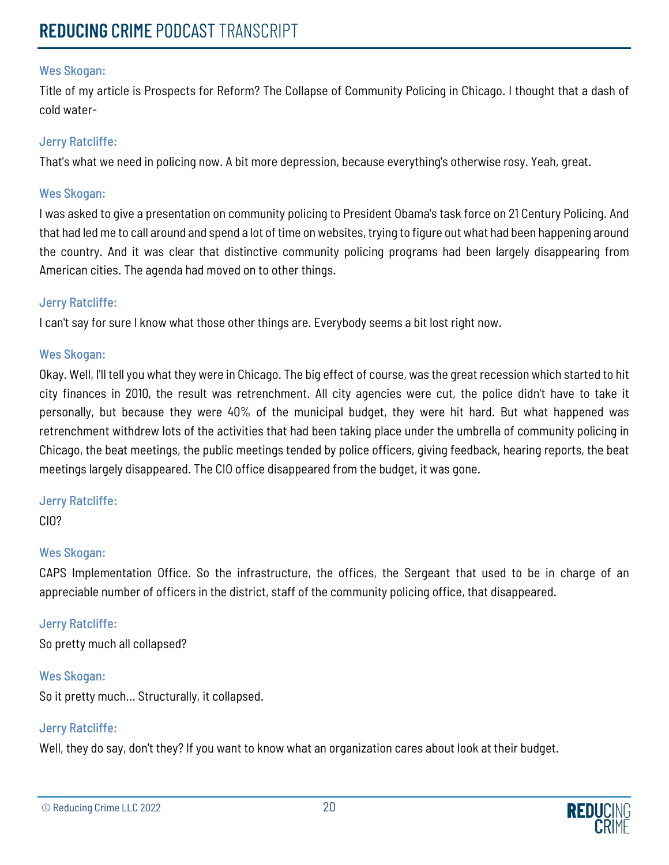Title of my article is Prospects for Reform? The Collapse of Community Policing in Chicago. I thought that a dash of cold water-

#### Jerry Ratcliffe:

That's what we need in policing now. A bit more depression, because everything's otherwise rosy. Yeah, great.

#### Wes Skogan:

I was asked to give a presentation on community policing to President Obama's task force on 21 Century Policing. And that had led me to call around and spend a lot of time on websites, trying to figure out what had been happening around the country. And it was clear that distinctive community policing programs had been largely disappearing from American cities. The agenda had moved on to other things.

#### Jerry Ratcliffe:

I can't say for sure I know what those other things are. Everybody seems a bit lost right now.

#### Wes Skogan:

Okay. Well, I'll tell you what they were in Chicago. The big effect of course, was the great recession which started to hit city finances in 2010, the result was retrenchment. All city agencies were cut, the police didn't have to take it personally, but because they were 40% of the municipal budget, they were hit hard. But what happened was retrenchment withdrew lots of the activities that had been taking place under the umbrella of community policing in Chicago, the beat meetings, the public meetings tended by police officers, giving feedback, hearing reports, the beat meetings largely disappeared. The CIO office disappeared from the budget, it was gone.

## Jerry Ratcliffe:

CIO?

## Wes Skogan:

CAPS Implementation Office. So the infrastructure, the offices, the Sergeant that used to be in charge of an appreciable number of officers in the district, staff of the community policing office, that disappeared.

## Jerry Ratcliffe:

So pretty much all collapsed?

## Wes Skogan:

So it pretty much... Structurally, it collapsed.

## Jerry Ratcliffe:

Well, they do say, don't they? If you want to know what an organization cares about look at their budget.

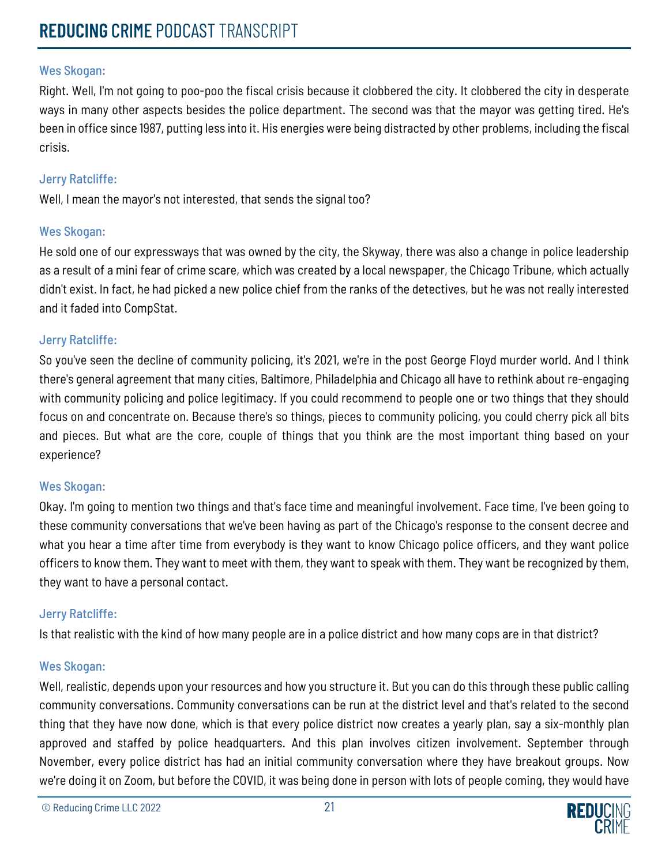Right. Well, I'm not going to poo-poo the fiscal crisis because it clobbered the city. It clobbered the city in desperate ways in many other aspects besides the police department. The second was that the mayor was getting tired. He's been in office since 1987, putting less into it. His energies were being distracted by other problems, including the fiscal crisis.

## Jerry Ratcliffe:

Well, I mean the mayor's not interested, that sends the signal too?

## Wes Skogan:

He sold one of our expressways that was owned by the city, the Skyway, there was also a change in police leadership as a result of a mini fear of crime scare, which was created by a local newspaper, the Chicago Tribune, which actually didn't exist. In fact, he had picked a new police chief from the ranks of the detectives, but he was not really interested and it faded into CompStat.

## Jerry Ratcliffe:

So you've seen the decline of community policing, it's 2021, we're in the post George Floyd murder world. And I think there's general agreement that many cities, Baltimore, Philadelphia and Chicago all have to rethink about re-engaging with community policing and police legitimacy. If you could recommend to people one or two things that they should focus on and concentrate on. Because there's so things, pieces to community policing, you could cherry pick all bits and pieces. But what are the core, couple of things that you think are the most important thing based on your experience?

## Wes Skogan:

Okay. I'm going to mention two things and that's face time and meaningful involvement. Face time, I've been going to these community conversations that we've been having as part of the Chicago's response to the consent decree and what you hear a time after time from everybody is they want to know Chicago police officers, and they want police officers to know them. They want to meet with them, they want to speak with them. They want be recognized by them, they want to have a personal contact.

## Jerry Ratcliffe:

Is that realistic with the kind of how many people are in a police district and how many cops are in that district?

## Wes Skogan:

Well, realistic, depends upon your resources and how you structure it. But you can do this through these public calling community conversations. Community conversations can be run at the district level and that's related to the second thing that they have now done, which is that every police district now creates a yearly plan, say a six-monthly plan approved and staffed by police headquarters. And this plan involves citizen involvement. September through November, every police district has had an initial community conversation where they have breakout groups. Now we're doing it on Zoom, but before the COVID, it was being done in person with lots of people coming, they would have

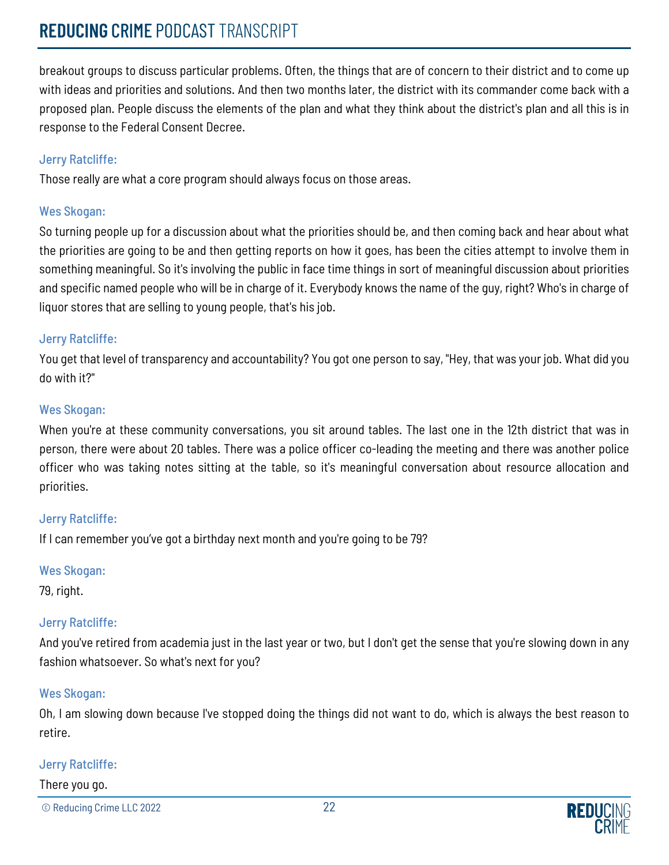# **REDUCING** CRIME PODCAST TRANSCRIPT

breakout groups to discuss particular problems. Often, the things that are of concern to their district and to come up with ideas and priorities and solutions. And then two months later, the district with its commander come back with a proposed plan. People discuss the elements of the plan and what they think about the district's plan and all this is in response to the Federal Consent Decree.

## Jerry Ratcliffe:

Those really are what a core program should always focus on those areas.

## Wes Skogan:

So turning people up for a discussion about what the priorities should be, and then coming back and hear about what the priorities are going to be and then getting reports on how it goes, has been the cities attempt to involve them in something meaningful. So it's involving the public in face time things in sort of meaningful discussion about priorities and specific named people who will be in charge of it. Everybody knows the name of the guy, right? Who's in charge of liquor stores that are selling to young people, that's his job.

## Jerry Ratcliffe:

You get that level of transparency and accountability? You got one person to say, "Hey, that was your job. What did you do with it?"

## Wes Skogan:

When you're at these community conversations, you sit around tables. The last one in the 12th district that was in person, there were about 20 tables. There was a police officer co-leading the meeting and there was another police officer who was taking notes sitting at the table, so it's meaningful conversation about resource allocation and priorities.

## Jerry Ratcliffe:

If I can remember you've got a birthday next month and you're going to be 79?

## Wes Skogan:

79, right.

## Jerry Ratcliffe:

And you've retired from academia just in the last year or two, but I don't get the sense that you're slowing down in any fashion whatsoever. So what's next for you?

## Wes Skogan:

Oh, I am slowing down because I've stopped doing the things did not want to do, which is always the best reason to retire.

## Jerry Ratcliffe:

There you go.

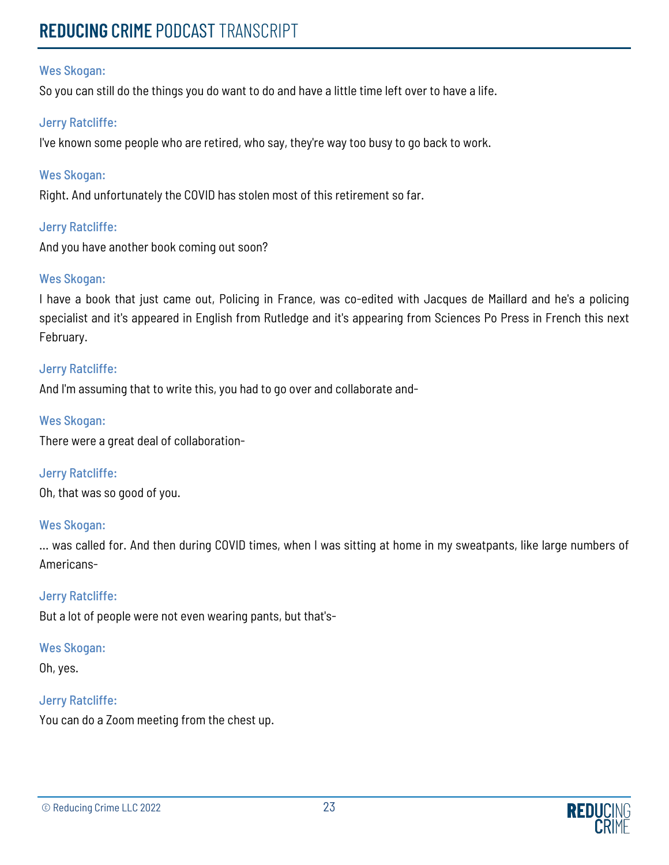So you can still do the things you do want to do and have a little time left over to have a life.

## Jerry Ratcliffe:

I've known some people who are retired, who say, they're way too busy to go back to work.

## Wes Skogan:

Right. And unfortunately the COVID has stolen most of this retirement so far.

## Jerry Ratcliffe:

And you have another book coming out soon?

## Wes Skogan:

I have a book that just came out, Policing in France, was co-edited with Jacques de Maillard and he's a policing specialist and it's appeared in English from Rutledge and it's appearing from Sciences Po Press in French this next February.

## Jerry Ratcliffe:

And I'm assuming that to write this, you had to go over and collaborate and-

## Wes Skogan:

There were a great deal of collaboration-

## Jerry Ratcliffe:

Oh, that was so good of you.

## Wes Skogan:

... was called for. And then during COVID times, when I was sitting at home in my sweatpants, like large numbers of Americans-

## Jerry Ratcliffe:

But a lot of people were not even wearing pants, but that's-

## Wes Skogan:

Oh, yes.

## Jerry Ratcliffe:

You can do a Zoom meeting from the chest up.